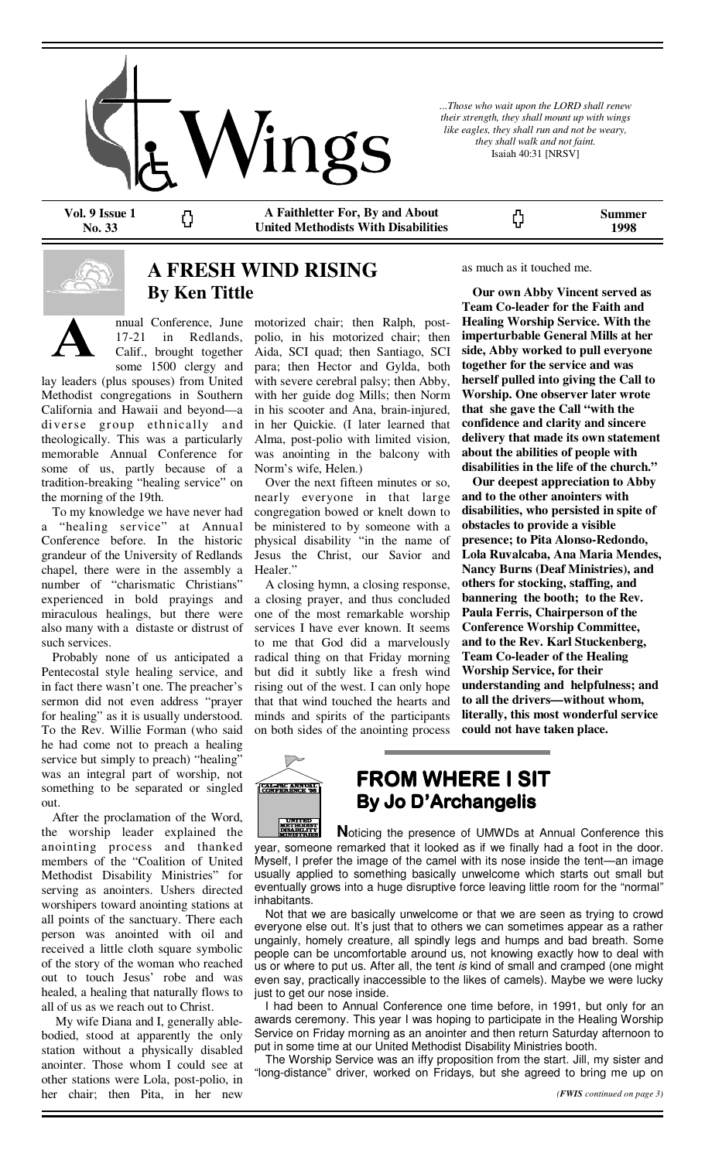

*...Those who wait upon the LORD shall renew their strength, they shall mount up with wings like eagles, they shall run and not be weary, they shall walk and not faint.*  Isaiah 40:31 [NRSV]

**Vol. 9 Issue 1 No. 33** 

**A Faithletter For, By and About United Methodists With Disabilities** 

**Summer 1998** 



## **A FRESH WIND RISING By Ken Tittle**

nnual Conference, June 17-21 in Redlands, Calif., brought together some 1500 clergy and

Ω

lay leaders (plus spouses) from United Methodist congregations in Southern California and Hawaii and beyond—a diverse group ethnically and theologically. This was a particularly memorable Annual Conference for some of us, partly because of a tradition-breaking "healing service" on the morning of the 19th.

 To my knowledge we have never had a "healing service" at Annual Conference before. In the historic grandeur of the University of Redlands chapel, there were in the assembly a number of "charismatic Christians" experienced in bold prayings and miraculous healings, but there were also many with a distaste or distrust of such services.

 Probably none of us anticipated a Pentecostal style healing service, and in fact there wasn't one. The preacher's sermon did not even address "prayer for healing" as it is usually understood. To the Rev. Willie Forman (who said he had come not to preach a healing service but simply to preach) "healing" was an integral part of worship, not something to be separated or singled out.

 After the proclamation of the Word, the worship leader explained the anointing process and thanked members of the "Coalition of United Methodist Disability Ministries" for serving as anointers. Ushers directed worshipers toward anointing stations at all points of the sanctuary. There each person was anointed with oil and received a little cloth square symbolic of the story of the woman who reached out to touch Jesus' robe and was healed, a healing that naturally flows to all of us as we reach out to Christ.

 My wife Diana and I, generally ablebodied, stood at apparently the only station without a physically disabled anointer. Those whom I could see at other stations were Lola, post-polio, in her chair; then Pita, in her new

motorized chair; then Ralph, postpolio, in his motorized chair; then Aida, SCI quad; then Santiago, SCI para; then Hector and Gylda, both with severe cerebral palsy; then Abby, with her guide dog Mills; then Norm in his scooter and Ana, brain-injured, in her Quickie. (I later learned that Alma, post-polio with limited vision, was anointing in the balcony with Norm's wife, Helen.)

 Over the next fifteen minutes or so, nearly everyone in that large congregation bowed or knelt down to be ministered to by someone with a physical disability "in the name of Jesus the Christ, our Savior and Healer."

 A closing hymn, a closing response, a closing prayer, and thus concluded one of the most remarkable worship services I have ever known. It seems to me that God did a marvelously radical thing on that Friday morning but did it subtly like a fresh wind rising out of the west. I can only hope that that wind touched the hearts and minds and spirits of the participants on both sides of the anointing process

#### as much as it touched me.

ς,

 **Our own Abby Vincent served as Team Co-leader for the Faith and Healing Worship Service. With the imperturbable General Mills at her side, Abby worked to pull everyone together for the service and was herself pulled into giving the Call to Worship. One observer later wrote that she gave the Call "with the confidence and clarity and sincere delivery that made its own statement about the abilities of people with disabilities in the life of the church."** 

 **Our deepest appreciation to Abby and to the other anointers with disabilities, who persisted in spite of obstacles to provide a visible presence; to Pita Alonso-Redondo, Lola Ruvalcaba, Ana Maria Mendes, Nancy Burns (Deaf Ministries), and others for stocking, staffing, and bannering the booth; to the Rev. Paula Ferris, Chairperson of the Conference Worship Committee, and to the Rev. Karl Stuckenberg, Team Co-leader of the Healing Worship Service, for their understanding and helpfulness; and to all the drivers—without whom, literally, this most wonderful service could not have taken place.** 



# **FROM WHERE I SIT FROM WHERE I SIT FROM SIT By Jo D'Archangelis**

**UNITED<br>METHODIST<br>DISABILITY<br>MINISTRIES N**oticing the presence of UMWDs at Annual Conference this year, someone remarked that it looked as if we finally had a foot in the door. Myself, I prefer the image of the camel with its nose inside the tent—an image usually applied to something basically unwelcome which starts out small but eventually grows into a huge disruptive force leaving little room for the "normal" inhabitants.

 Not that we are basically unwelcome or that we are seen as trying to crowd everyone else out. It's just that to others we can sometimes appear as a rather ungainly, homely creature, all spindly legs and humps and bad breath. Some people can be uncomfortable around us, not knowing exactly how to deal with us or where to put us. After all, the tent is kind of small and cramped (one might even say, practically inaccessible to the likes of camels). Maybe we were lucky just to get our nose inside.

 I had been to Annual Conference one time before, in 1991, but only for an awards ceremony. This year I was hoping to participate in the Healing Worship Service on Friday morning as an anointer and then return Saturday afternoon to put in some time at our United Methodist Disability Ministries booth.

 The Worship Service was an iffy proposition from the start. Jill, my sister and "long-distance" driver, worked on Fridays, but she agreed to bring me up on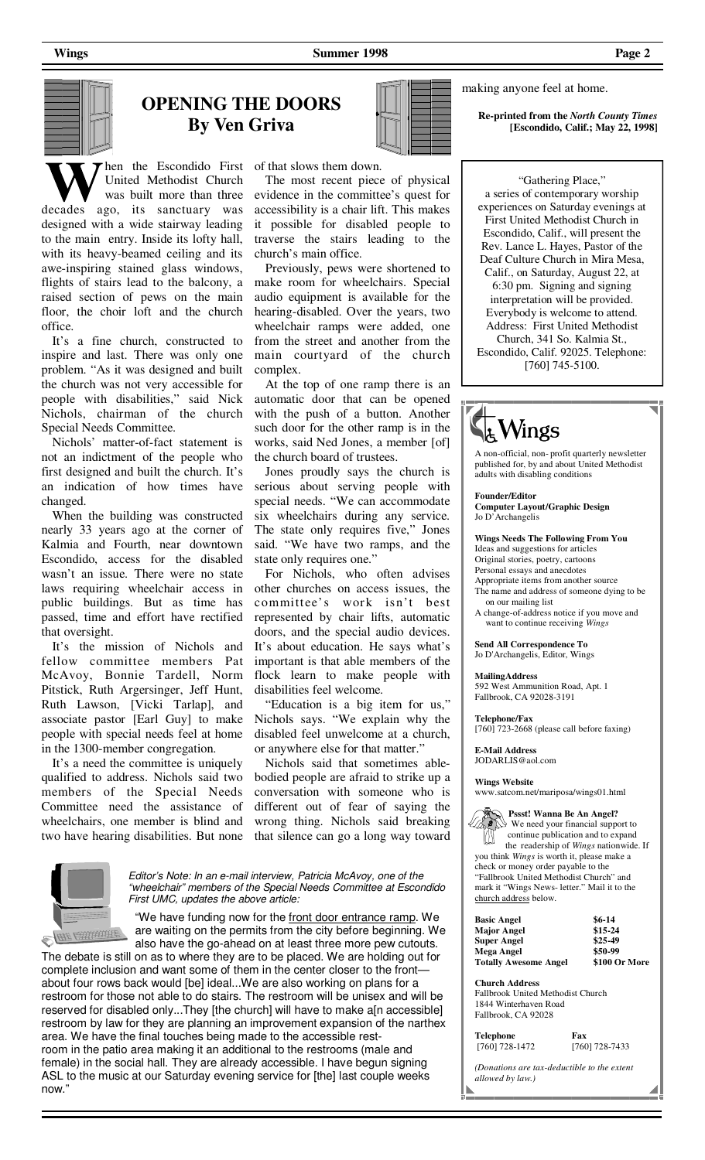**Wings** Page 2 **Summer 1998** Page 2



hen the Escondido First of that slows them down. United Methodist Church was built more than three

decades ago, its sanctuary was designed with a wide stairway leading to the main entry. Inside its lofty hall, with its heavy-beamed ceiling and its awe-inspiring stained glass windows, flights of stairs lead to the balcony, a raised section of pews on the main floor, the choir loft and the church office.

 It's a fine church, constructed to inspire and last. There was only one problem. "As it was designed and built the church was not very accessible for people with disabilities," said Nick Nichols, chairman of the church Special Needs Committee.

 Nichols' matter-of-fact statement is not an indictment of the people who first designed and built the church. It's an indication of how times have changed.

 When the building was constructed nearly 33 years ago at the corner of Kalmia and Fourth, near downtown Escondido, access for the disabled wasn't an issue. There were no state laws requiring wheelchair access in public buildings. But as time has passed, time and effort have rectified that oversight.

 It's the mission of Nichols and fellow committee members Pat McAvoy, Bonnie Tardell, Norm Pitstick, Ruth Argersinger, Jeff Hunt, Ruth Lawson, [Vicki Tarlap], and associate pastor [Earl Guy] to make people with special needs feel at home in the 1300-member congregation.

 It's a need the committee is uniquely qualified to address. Nichols said two members of the Special Needs Committee need the assistance of wheelchairs, one member is blind and two have hearing disabilities. But none

 The most recent piece of physical evidence in the committee's quest for accessibility is a chair lift. This makes it possible for disabled people to traverse the stairs leading to the church's main office.

 Previously, pews were shortened to make room for wheelchairs. Special audio equipment is available for the hearing-disabled. Over the years, two wheelchair ramps were added, one from the street and another from the main courtyard of the church complex.

 At the top of one ramp there is an automatic door that can be opened with the push of a button. Another such door for the other ramp is in the works, said Ned Jones, a member [of] the church board of trustees.

 Jones proudly says the church is serious about serving people with special needs. "We can accommodate six wheelchairs during any service. The state only requires five," Jones said. "We have two ramps, and the state only requires one."

 For Nichols, who often advises other churches on access issues, the committee's work isn't best represented by chair lifts, automatic doors, and the special audio devices. It's about education. He says what's important is that able members of the flock learn to make people with disabilities feel welcome.

 "Education is a big item for us," Nichols says. "We explain why the disabled feel unwelcome at a church, or anywhere else for that matter."

 Nichols said that sometimes ablebodied people are afraid to strike up a conversation with someone who is different out of fear of saying the wrong thing. Nichols said breaking that silence can go a long way toward



Editor's Note: In an e-mail interview, Patricia McAvoy, one of the "wheelchair" members of the Special Needs Committee at Escondido First UMC, updates the above article:

"We have funding now for the front door entrance ramp. We are waiting on the permits from the city before beginning. We also have the go-ahead on at least three more pew cutouts.

The debate is still on as to where they are to be placed. We are holding out for complete inclusion and want some of them in the center closer to the front about four rows back would [be] ideal...We are also working on plans for a restroom for those not able to do stairs. The restroom will be unisex and will be reserved for disabled only...They [the church] will have to make a[n accessible] restroom by law for they are planning an improvement expansion of the narthex area. We have the final touches being made to the accessible restroom in the patio area making it an additional to the restrooms (male and

female) in the social hall. They are already accessible. I have begun signing ASL to the music at our Saturday evening service for [the] last couple weeks now."

**Re-printed from the** *North County Times*  **[Escondido, Calif.; May 22, 1998]**

> "Gathering Place," a series of contemporary worship experiences on Saturday evenings at First United Methodist Church in Escondido, Calif., will present the Rev. Lance L. Hayes, Pastor of the Deaf Culture Church in Mira Mesa, Calif., on Saturday, August 22, at 6:30 pm. Signing and signing interpretation will be provided. Everybody is welcome to attend. Address: First United Methodist Church, 341 So. Kalmia St., Escondido, Calif. 92025. Telephone: [760] 745-5100.

making anyone feel at home.



A non-official, non- profit quarterly newsletter published for, by and about United Methodist adults with disabling conditions

**Founder/Editor** 

**Computer Layout/Graphic Design**  Jo D'Archangelis

**Wings Needs The Following From You** 

Ideas and suggestions for articles

Original stories, poetry, cartoons Personal essays and anecdotes

Appropriate items from another source

The name and address of someone dying to be on our mailing list

A change-of-address notice if you move and want to continue receiving *Wings*

**Send All Correspondence To**  Jo D'Archangelis, Editor, Wings

**MailingAddress**  592 West Ammunition Road, Apt. 1 Fallbrook, CA 92028-3191

**Telephone/Fax** 

[760] 723-2668 (please call before faxing)

**E-Mail Address** JODARLIS@aol.com

**Wings Website**

www.satcom.net/mariposa/wings01.html

 **Pssst! Wanna Be An Angel?**  We need your financial support to

 continue publication and to expand the readership of *Wings* nationwide. If you think *Wings* is worth it, please make a check or money order payable to the "Fallbrook United Methodist Church" and mark it "Wings News- letter." Mail it to the church address below.

| Basic Angel                  | $$6-14$       |
|------------------------------|---------------|
| Major Angel                  | $$15-24$      |
| Super Angel                  | $$25-49$      |
| Mega Angel                   | \$50-99       |
| <b>Totally Awesome Angel</b> | \$100 Or More |

**Church Address** 

Fallbrook United Methodist Church 1844 Winterhaven Road Fallbrook, CA 92028

**Telephone Fax**<br>[760] 728-1472 [760]

[760] 728-1472 [760] 728-7433

*(Donations are tax-deductible to the extent allowed by law.)*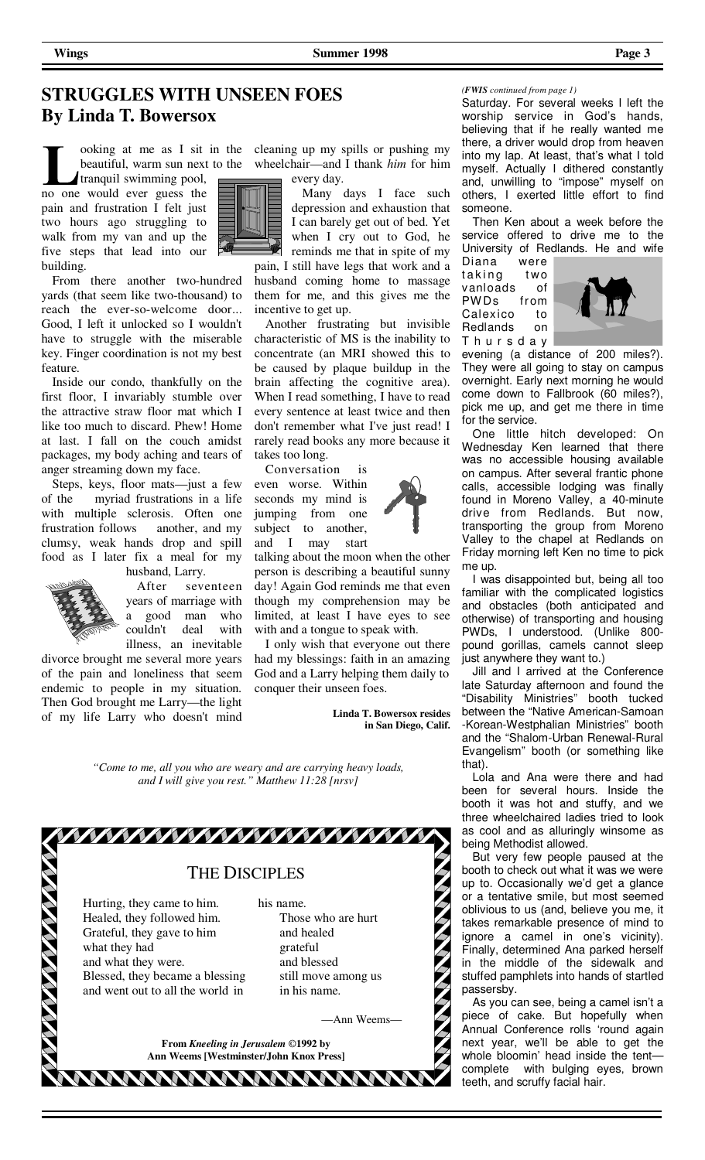### **STRUGGLES WITH UNSEEN FOES By Linda T. Bowersox**

beautiful, warm sun next to the tranquil swimming pool,

no one would ever guess the pain and frustration I felt just two hours ago struggling to walk from my van and up the five steps that lead into our building.

 From there another two-hundred yards (that seem like two-thousand) to reach the ever-so-welcome door... Good, I left it unlocked so I wouldn't have to struggle with the miserable key. Finger coordination is not my best feature.

 Inside our condo, thankfully on the first floor, I invariably stumble over the attractive straw floor mat which I like too much to discard. Phew! Home at last. I fall on the couch amidst packages, my body aching and tears of anger streaming down my face.

 Steps, keys, floor mats—just a few of the myriad frustrations in a life with multiple sclerosis. Often one frustration follows another, and my clumsy, weak hands drop and spill food as I later fix a meal for my husband, Larry.

 After seventeen years of marriage with a good man who couldn't deal with illness, an inevitable

divorce brought me several more years of the pain and loneliness that seem endemic to people in my situation. Then God brought me Larry—the light of my life Larry who doesn't mind

ooking at me as I sit in the cleaning up my spills or pushing my wheelchair—and I thank *him* for him every day.

 Many days I face such depression and exhaustion that I can barely get out of bed. Yet when I cry out to God, he reminds me that in spite of my

pain, I still have legs that work and a husband coming home to massage them for me, and this gives me the incentive to get up.

 Another frustrating but invisible characteristic of MS is the inability to concentrate (an MRI showed this to be caused by plaque buildup in the brain affecting the cognitive area). When I read something, I have to read every sentence at least twice and then don't remember what I've just read! I rarely read books any more because it takes too long.

 Conversation is even worse. Within seconds my mind is jumping from one subject to another, and I may start

talking about the moon when the other person is describing a beautiful sunny day! Again God reminds me that even though my comprehension may be limited, at least I have eyes to see with and a tongue to speak with.

 I only wish that everyone out there had my blessings: faith in an amazing God and a Larry helping them daily to conquer their unseen foes.

> **Linda T. Bowersox resides in San Diego, Calif.**

*"Come to me, all you who are weary and are carrying heavy loads, and I will give you rest." Matthew 11:28 [nrsv]* 



#### *(FWIS continued from page 1)*

Saturday. For several weeks I left the worship service in God's hands, believing that if he really wanted me there, a driver would drop from heaven into my lap. At least, that's what I told myself. Actually I dithered constantly and, unwilling to "impose" myself on others, I exerted little effort to find someone.

 Then Ken about a week before the service offered to drive me to the University of Redlands. He and wife

Diana were taking two vanloads of PW Ds from Calexico to Redlands on T h u r s d a y



evening (a distance of 200 miles?). They were all going to stay on campus overnight. Early next morning he would come down to Fallbrook (60 miles?), pick me up, and get me there in time for the service.

 One little hitch developed: On Wednesday Ken learned that there was no accessible housing available on campus. After several frantic phone calls, accessible lodging was finally found in Moreno Valley, a 40-minute drive from Redlands. But now, transporting the group from Moreno Valley to the chapel at Redlands on Friday morning left Ken no time to pick me up.

 I was disappointed but, being all too familiar with the complicated logistics and obstacles (both anticipated and otherwise) of transporting and housing PWDs, I understood. (Unlike 800 pound gorillas, camels cannot sleep just anywhere they want to.)

 Jill and I arrived at the Conference late Saturday afternoon and found the "Disability Ministries" booth tucked between the "Native American-Samoan -Korean-Westphalian Ministries" booth and the "Shalom-Urban Renewal-Rural Evangelism" booth (or something like that).

 Lola and Ana were there and had been for several hours. Inside the booth it was hot and stuffy, and we three wheelchaired ladies tried to look as cool and as alluringly winsome as being Methodist allowed.

 But very few people paused at the booth to check out what it was we were up to. Occasionally we'd get a glance or a tentative smile, but most seemed oblivious to us (and, believe you me, it takes remarkable presence of mind to ignore a camel in one's vicinity). Finally, determined Ana parked herself in the middle of the sidewalk and stuffed pamphlets into hands of startled passersby.

 As you can see, being a camel isn't a piece of cake. But hopefully when Annual Conference rolls 'round again next year, we'll be able to get the whole bloomin' head inside the tent complete with bulging eyes, brown teeth, and scruffy facial hair.